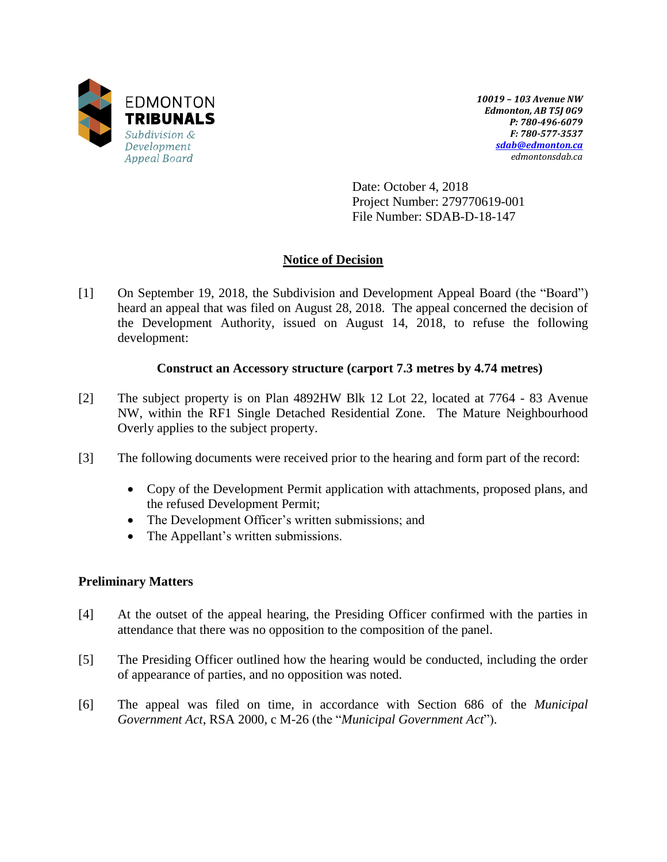

*10019 – 103 Avenue NW Edmonton, AB T5J 0G9 P: 780-496-6079 F: 780-577-3537 [sdab@edmonton.ca](mailto:sdab@edmonton.ca) edmontonsdab.ca*

Date: October 4, 2018 Project Number: 279770619-001 File Number: SDAB-D-18-147

# **Notice of Decision**

[1] On September 19, 2018, the Subdivision and Development Appeal Board (the "Board") heard an appeal that was filed on August 28, 2018. The appeal concerned the decision of the Development Authority, issued on August 14, 2018, to refuse the following development:

# **Construct an Accessory structure (carport 7.3 metres by 4.74 metres)**

- [2] The subject property is on Plan 4892HW Blk 12 Lot 22, located at 7764 83 Avenue NW, within the RF1 Single Detached Residential Zone. The Mature Neighbourhood Overly applies to the subject property.
- [3] The following documents were received prior to the hearing and form part of the record:
	- Copy of the Development Permit application with attachments, proposed plans, and the refused Development Permit;
	- The Development Officer's written submissions; and
	- The Appellant's written submissions.

## **Preliminary Matters**

- [4] At the outset of the appeal hearing, the Presiding Officer confirmed with the parties in attendance that there was no opposition to the composition of the panel.
- [5] The Presiding Officer outlined how the hearing would be conducted, including the order of appearance of parties, and no opposition was noted.
- [6] The appeal was filed on time, in accordance with Section 686 of the *Municipal Government Act*, RSA 2000, c M-26 (the "*Municipal Government Act*").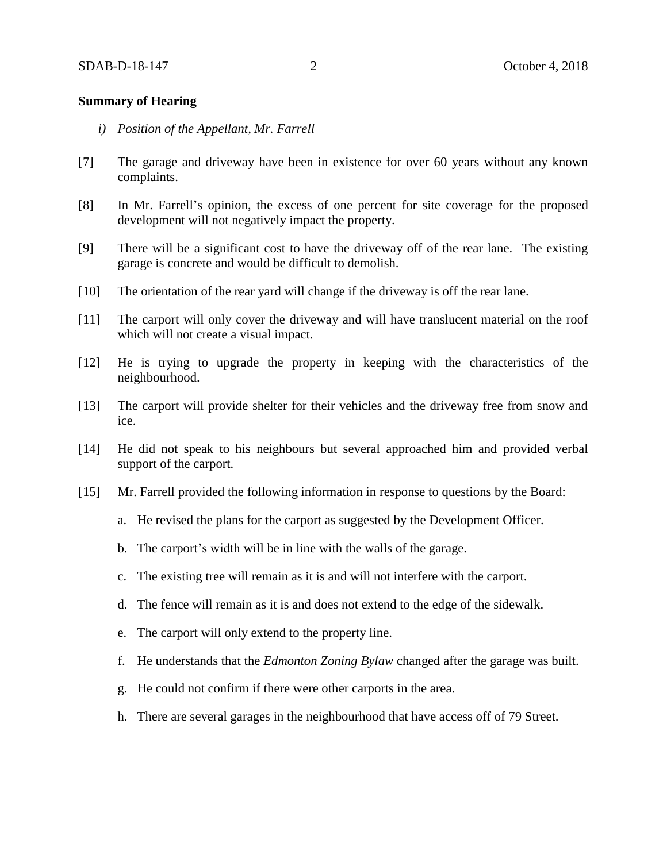### **Summary of Hearing**

- *i) Position of the Appellant, Mr. Farrell*
- [7] The garage and driveway have been in existence for over 60 years without any known complaints.
- [8] In Mr. Farrell's opinion, the excess of one percent for site coverage for the proposed development will not negatively impact the property.
- [9] There will be a significant cost to have the driveway off of the rear lane. The existing garage is concrete and would be difficult to demolish.
- [10] The orientation of the rear yard will change if the driveway is off the rear lane.
- [11] The carport will only cover the driveway and will have translucent material on the roof which will not create a visual impact.
- [12] He is trying to upgrade the property in keeping with the characteristics of the neighbourhood.
- [13] The carport will provide shelter for their vehicles and the driveway free from snow and ice.
- [14] He did not speak to his neighbours but several approached him and provided verbal support of the carport.
- [15] Mr. Farrell provided the following information in response to questions by the Board:
	- a. He revised the plans for the carport as suggested by the Development Officer.
	- b. The carport's width will be in line with the walls of the garage.
	- c. The existing tree will remain as it is and will not interfere with the carport.
	- d. The fence will remain as it is and does not extend to the edge of the sidewalk.
	- e. The carport will only extend to the property line.
	- f. He understands that the *Edmonton Zoning Bylaw* changed after the garage was built.
	- g. He could not confirm if there were other carports in the area.
	- h. There are several garages in the neighbourhood that have access off of 79 Street.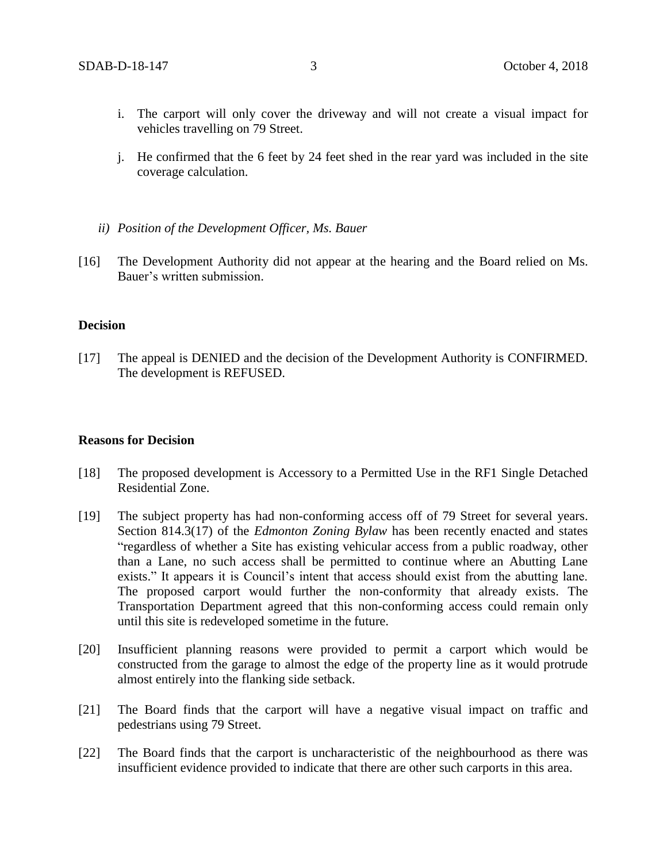- i. The carport will only cover the driveway and will not create a visual impact for vehicles travelling on 79 Street.
- j. He confirmed that the 6 feet by 24 feet shed in the rear yard was included in the site coverage calculation.
- *ii) Position of the Development Officer, Ms. Bauer*
- [16] The Development Authority did not appear at the hearing and the Board relied on Ms. Bauer's written submission.

#### **Decision**

[17] The appeal is DENIED and the decision of the Development Authority is CONFIRMED. The development is REFUSED.

#### **Reasons for Decision**

- [18] The proposed development is Accessory to a Permitted Use in the RF1 Single Detached Residential Zone.
- [19] The subject property has had non-conforming access off of 79 Street for several years. Section 814.3(17) of the *Edmonton Zoning Bylaw* has been recently enacted and states "regardless of whether a Site has existing vehicular access from a public roadway, other than a Lane, no such access shall be permitted to continue where an Abutting Lane exists." It appears it is Council's intent that access should exist from the abutting lane. The proposed carport would further the non-conformity that already exists. The Transportation Department agreed that this non-conforming access could remain only until this site is redeveloped sometime in the future.
- [20] Insufficient planning reasons were provided to permit a carport which would be constructed from the garage to almost the edge of the property line as it would protrude almost entirely into the flanking side setback.
- [21] The Board finds that the carport will have a negative visual impact on traffic and pedestrians using 79 Street.
- [22] The Board finds that the carport is uncharacteristic of the neighbourhood as there was insufficient evidence provided to indicate that there are other such carports in this area.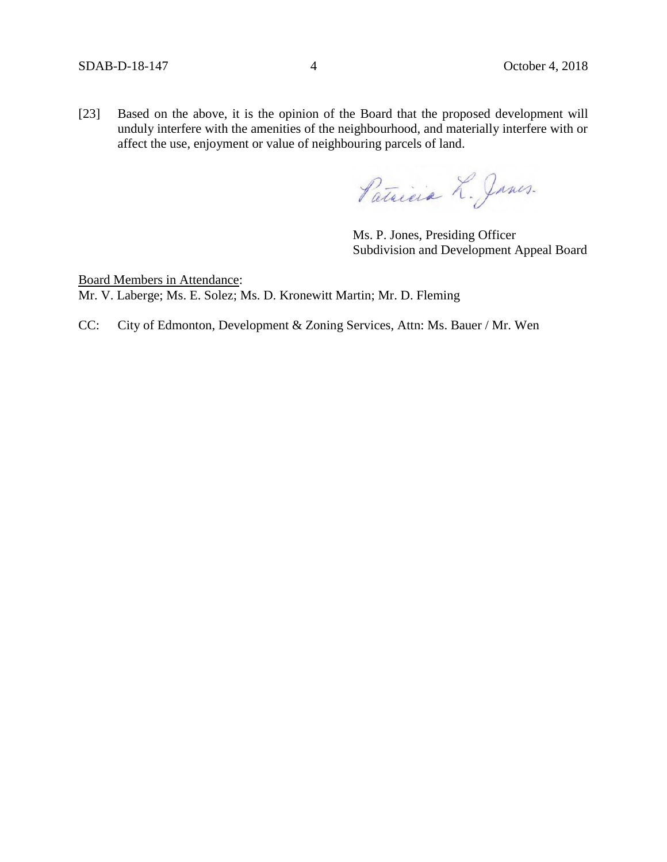[23] Based on the above, it is the opinion of the Board that the proposed development will unduly interfere with the amenities of the neighbourhood, and materially interfere with or affect the use, enjoyment or value of neighbouring parcels of land.

Patricia L. Janes.

Ms. P. Jones, Presiding Officer Subdivision and Development Appeal Board

Board Members in Attendance: Mr. V. Laberge; Ms. E. Solez; Ms. D. Kronewitt Martin; Mr. D. Fleming

CC: City of Edmonton, Development & Zoning Services, Attn: Ms. Bauer / Mr. Wen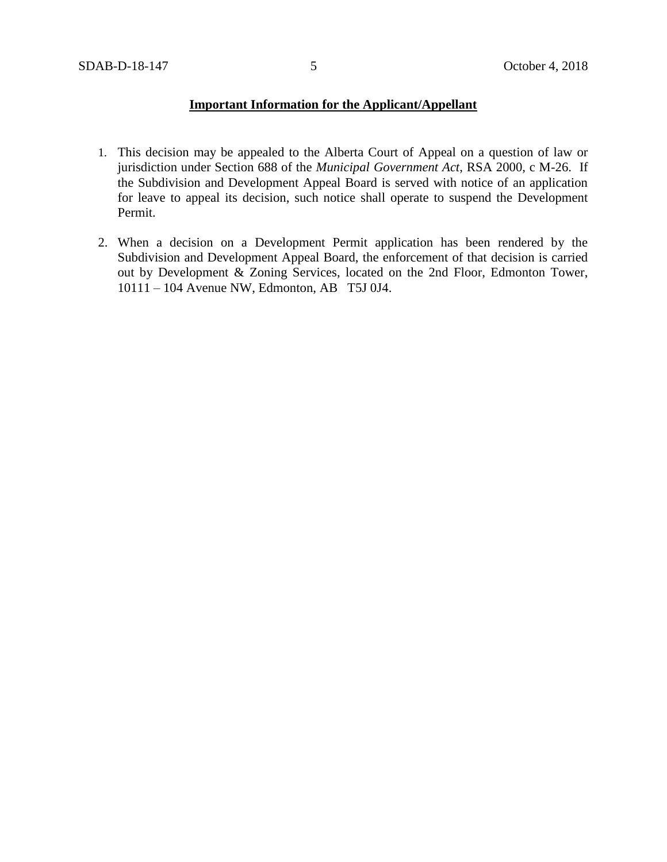### **Important Information for the Applicant/Appellant**

- 1. This decision may be appealed to the Alberta Court of Appeal on a question of law or jurisdiction under Section 688 of the *Municipal Government Act*, RSA 2000, c M-26. If the Subdivision and Development Appeal Board is served with notice of an application for leave to appeal its decision, such notice shall operate to suspend the Development Permit.
- 2. When a decision on a Development Permit application has been rendered by the Subdivision and Development Appeal Board, the enforcement of that decision is carried out by Development & Zoning Services, located on the 2nd Floor, Edmonton Tower, 10111 – 104 Avenue NW, Edmonton, AB T5J 0J4.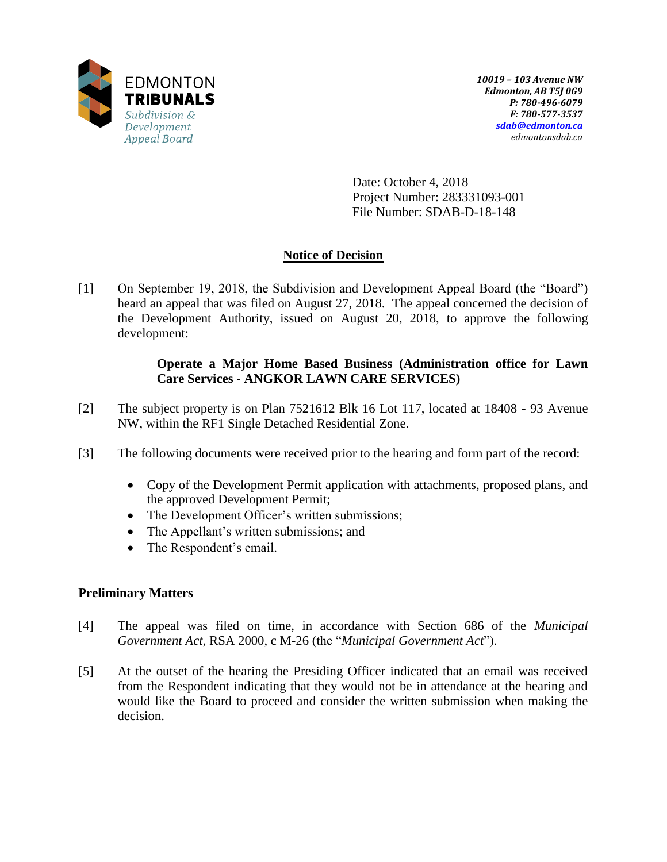

Date: October 4, 2018 Project Number: 283331093-001 File Number: SDAB-D-18-148

# **Notice of Decision**

[1] On September 19, 2018, the Subdivision and Development Appeal Board (the "Board") heard an appeal that was filed on August 27, 2018. The appeal concerned the decision of the Development Authority, issued on August 20, 2018, to approve the following development:

## **Operate a Major Home Based Business (Administration office for Lawn Care Services - ANGKOR LAWN CARE SERVICES)**

- [2] The subject property is on Plan 7521612 Blk 16 Lot 117, located at 18408 93 Avenue NW, within the RF1 Single Detached Residential Zone.
- [3] The following documents were received prior to the hearing and form part of the record:
	- Copy of the Development Permit application with attachments, proposed plans, and the approved Development Permit;
	- The Development Officer's written submissions;
	- The Appellant's written submissions; and
	- The Respondent's email.

## **Preliminary Matters**

- [4] The appeal was filed on time, in accordance with Section 686 of the *Municipal Government Act*, RSA 2000, c M-26 (the "*Municipal Government Act*").
- [5] At the outset of the hearing the Presiding Officer indicated that an email was received from the Respondent indicating that they would not be in attendance at the hearing and would like the Board to proceed and consider the written submission when making the decision.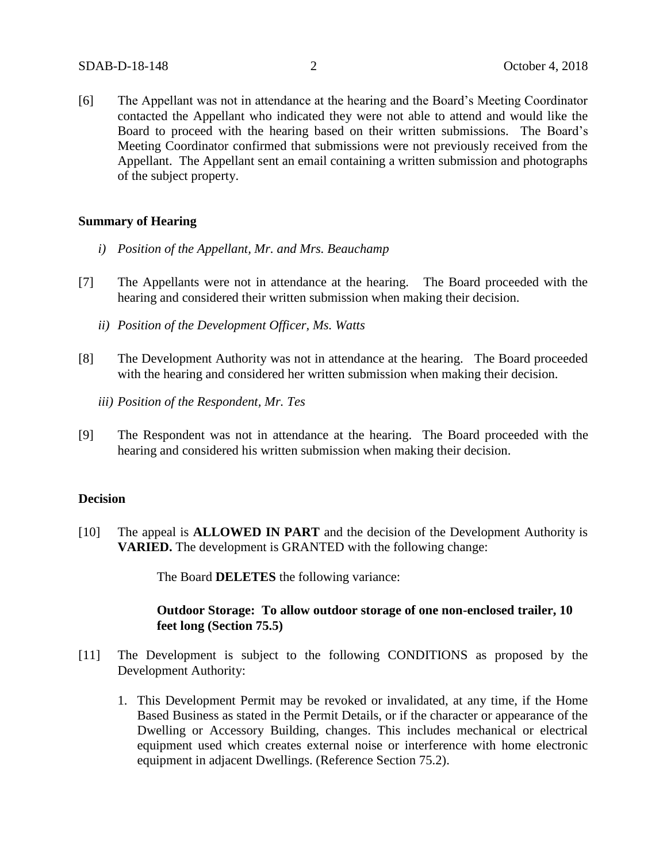[6] The Appellant was not in attendance at the hearing and the Board's Meeting Coordinator contacted the Appellant who indicated they were not able to attend and would like the Board to proceed with the hearing based on their written submissions. The Board's Meeting Coordinator confirmed that submissions were not previously received from the Appellant. The Appellant sent an email containing a written submission and photographs of the subject property.

#### **Summary of Hearing**

- *i) Position of the Appellant, Mr. and Mrs. Beauchamp*
- [7] The Appellants were not in attendance at the hearing. The Board proceeded with the hearing and considered their written submission when making their decision.
	- *ii) Position of the Development Officer, Ms. Watts*
- [8] The Development Authority was not in attendance at the hearing. The Board proceeded with the hearing and considered her written submission when making their decision.
	- *iii) Position of the Respondent, Mr. Tes*
- [9] The Respondent was not in attendance at the hearing. The Board proceeded with the hearing and considered his written submission when making their decision.

### **Decision**

[10] The appeal is **ALLOWED IN PART** and the decision of the Development Authority is **VARIED.** The development is GRANTED with the following change:

The Board **DELETES** the following variance:

### **Outdoor Storage: To allow outdoor storage of one non-enclosed trailer, 10 feet long (Section 75.5)**

- [11] The Development is subject to the following CONDITIONS as proposed by the Development Authority:
	- 1. This Development Permit may be revoked or invalidated, at any time, if the Home Based Business as stated in the Permit Details, or if the character or appearance of the Dwelling or Accessory Building, changes. This includes mechanical or electrical equipment used which creates external noise or interference with home electronic equipment in adjacent Dwellings. (Reference Section 75.2).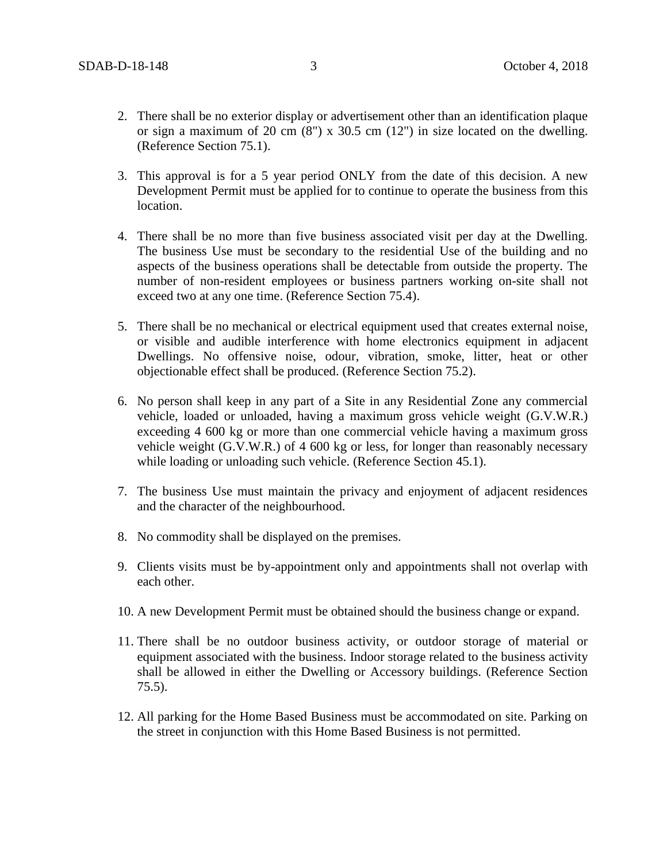- 2. There shall be no exterior display or advertisement other than an identification plaque or sign a maximum of 20 cm (8") x 30.5 cm (12") in size located on the dwelling. (Reference Section 75.1).
- 3. This approval is for a 5 year period ONLY from the date of this decision. A new Development Permit must be applied for to continue to operate the business from this location.
- 4. There shall be no more than five business associated visit per day at the Dwelling. The business Use must be secondary to the residential Use of the building and no aspects of the business operations shall be detectable from outside the property. The number of non-resident employees or business partners working on-site shall not exceed two at any one time. (Reference Section 75.4).
- 5. There shall be no mechanical or electrical equipment used that creates external noise, or visible and audible interference with home electronics equipment in adjacent Dwellings. No offensive noise, odour, vibration, smoke, litter, heat or other objectionable effect shall be produced. (Reference Section 75.2).
- 6. No person shall keep in any part of a Site in any Residential Zone any commercial vehicle, loaded or unloaded, having a maximum gross vehicle weight (G.V.W.R.) exceeding 4 600 kg or more than one commercial vehicle having a maximum gross vehicle weight (G.V.W.R.) of 4 600 kg or less, for longer than reasonably necessary while loading or unloading such vehicle. (Reference Section 45.1).
- 7. The business Use must maintain the privacy and enjoyment of adjacent residences and the character of the neighbourhood.
- 8. No commodity shall be displayed on the premises.
- 9. Clients visits must be by-appointment only and appointments shall not overlap with each other.
- 10. A new Development Permit must be obtained should the business change or expand.
- 11. There shall be no outdoor business activity, or outdoor storage of material or equipment associated with the business. Indoor storage related to the business activity shall be allowed in either the Dwelling or Accessory buildings. (Reference Section 75.5).
- 12. All parking for the Home Based Business must be accommodated on site. Parking on the street in conjunction with this Home Based Business is not permitted.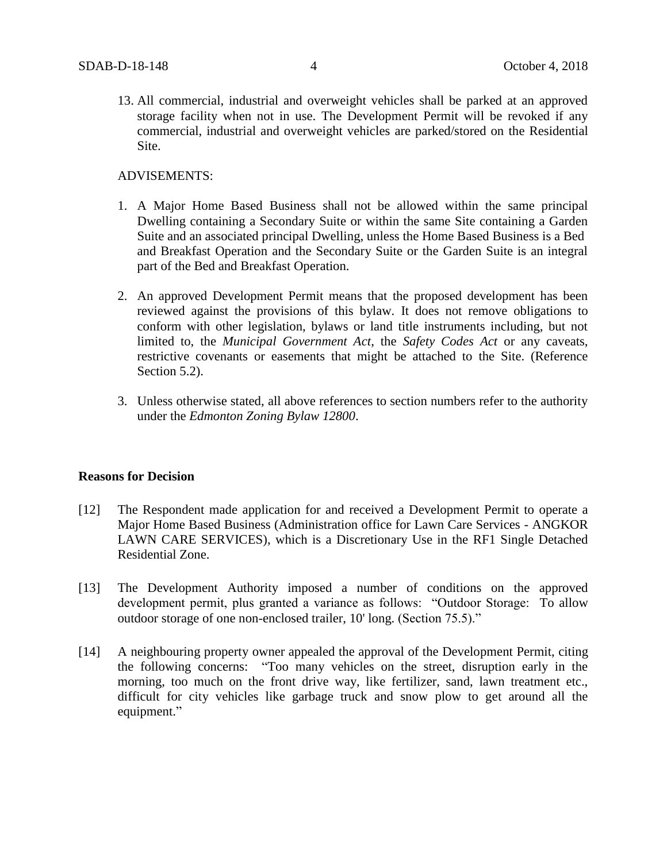13. All commercial, industrial and overweight vehicles shall be parked at an approved storage facility when not in use. The Development Permit will be revoked if any commercial, industrial and overweight vehicles are parked/stored on the Residential Site.

### ADVISEMENTS:

- 1. A Major Home Based Business shall not be allowed within the same principal Dwelling containing a Secondary Suite or within the same Site containing a Garden Suite and an associated principal Dwelling, unless the Home Based Business is a Bed and Breakfast Operation and the Secondary Suite or the Garden Suite is an integral part of the Bed and Breakfast Operation.
- 2. An approved Development Permit means that the proposed development has been reviewed against the provisions of this bylaw. It does not remove obligations to conform with other legislation, bylaws or land title instruments including, but not limited to, the *Municipal Government Act*, the *Safety Codes Act* or any caveats, restrictive covenants or easements that might be attached to the Site. (Reference Section 5.2).
- 3. Unless otherwise stated, all above references to section numbers refer to the authority under the *Edmonton Zoning Bylaw 12800*.

#### **Reasons for Decision**

- [12] The Respondent made application for and received a Development Permit to operate a Major Home Based Business (Administration office for Lawn Care Services - ANGKOR LAWN CARE SERVICES), which is a Discretionary Use in the RF1 Single Detached Residential Zone.
- [13] The Development Authority imposed a number of conditions on the approved development permit, plus granted a variance as follows: "Outdoor Storage: To allow outdoor storage of one non-enclosed trailer, 10' long. (Section 75.5)."
- [14] A neighbouring property owner appealed the approval of the Development Permit, citing the following concerns: "Too many vehicles on the street, disruption early in the morning, too much on the front drive way, like fertilizer, sand, lawn treatment etc., difficult for city vehicles like garbage truck and snow plow to get around all the equipment."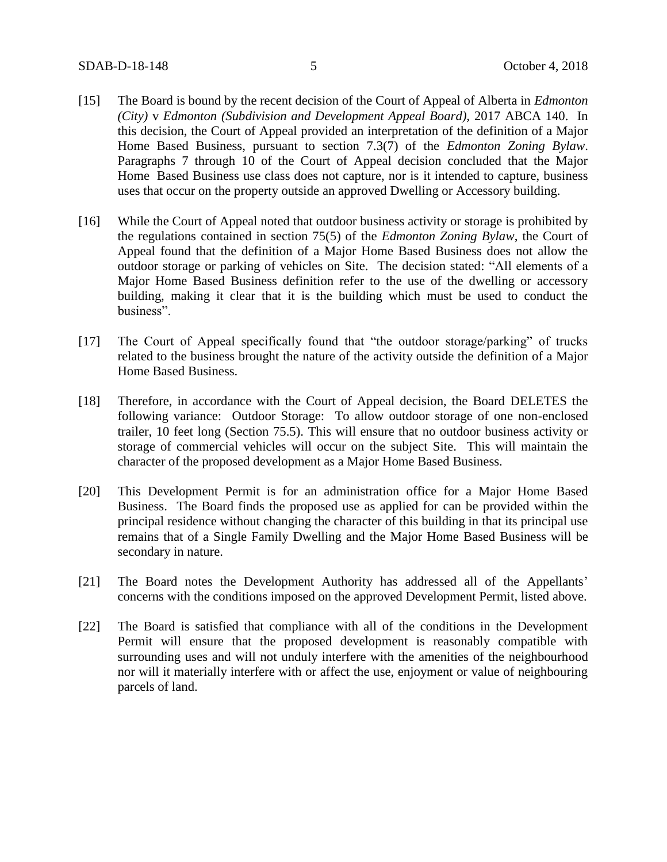- [15] The Board is bound by the recent decision of the Court of Appeal of Alberta in *Edmonton (City)* v *Edmonton (Subdivision and Development Appeal Board),* 2017 ABCA 140. In this decision, the Court of Appeal provided an interpretation of the definition of a Major Home Based Business, pursuant to section 7.3(7) of the *Edmonton Zoning Bylaw*. Paragraphs 7 through 10 of the Court of Appeal decision concluded that the Major Home Based Business use class does not capture, nor is it intended to capture, business uses that occur on the property outside an approved Dwelling or Accessory building.
- [16] While the Court of Appeal noted that outdoor business activity or storage is prohibited by the regulations contained in section 75(5) of the *Edmonton Zoning Bylaw*, the Court of Appeal found that the definition of a Major Home Based Business does not allow the outdoor storage or parking of vehicles on Site. The decision stated: "All elements of a Major Home Based Business definition refer to the use of the dwelling or accessory building, making it clear that it is the building which must be used to conduct the business".
- [17] The Court of Appeal specifically found that "the outdoor storage/parking" of trucks related to the business brought the nature of the activity outside the definition of a Major Home Based Business.
- [18] Therefore, in accordance with the Court of Appeal decision, the Board DELETES the following variance: Outdoor Storage: To allow outdoor storage of one non-enclosed trailer, 10 feet long (Section 75.5). This will ensure that no outdoor business activity or storage of commercial vehicles will occur on the subject Site. This will maintain the character of the proposed development as a Major Home Based Business.
- [20] This Development Permit is for an administration office for a Major Home Based Business. The Board finds the proposed use as applied for can be provided within the principal residence without changing the character of this building in that its principal use remains that of a Single Family Dwelling and the Major Home Based Business will be secondary in nature.
- [21] The Board notes the Development Authority has addressed all of the Appellants' concerns with the conditions imposed on the approved Development Permit, listed above.
- [22] The Board is satisfied that compliance with all of the conditions in the Development Permit will ensure that the proposed development is reasonably compatible with surrounding uses and will not unduly interfere with the amenities of the neighbourhood nor will it materially interfere with or affect the use, enjoyment or value of neighbouring parcels of land.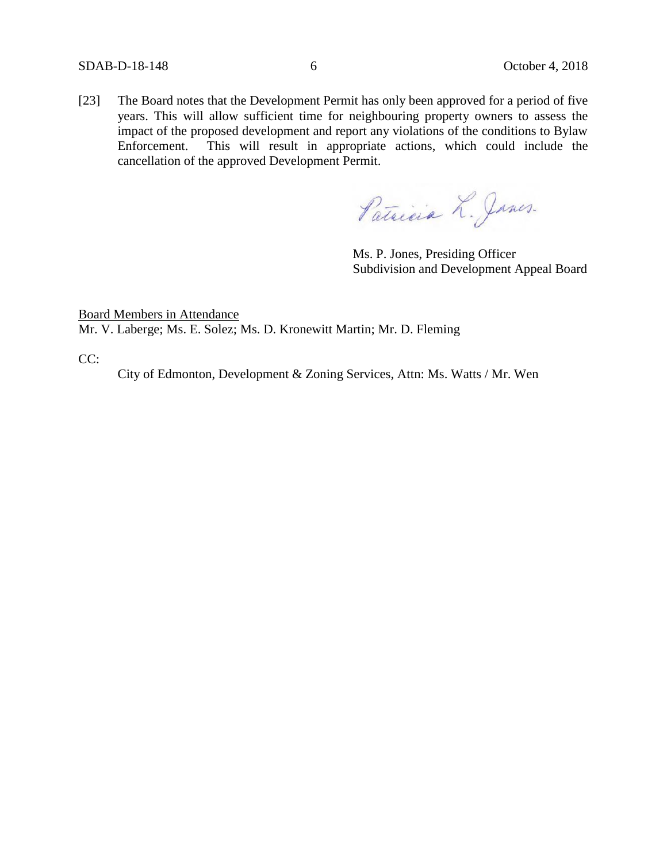[23] The Board notes that the Development Permit has only been approved for a period of five years. This will allow sufficient time for neighbouring property owners to assess the impact of the proposed development and report any violations of the conditions to Bylaw Enforcement. This will result in appropriate actions, which could include the cancellation of the approved Development Permit.

Patricia L. Janes.

Ms. P. Jones, Presiding Officer Subdivision and Development Appeal Board

Board Members in Attendance Mr. V. Laberge; Ms. E. Solez; Ms. D. Kronewitt Martin; Mr. D. Fleming

CC:

City of Edmonton, Development & Zoning Services, Attn: Ms. Watts / Mr. Wen